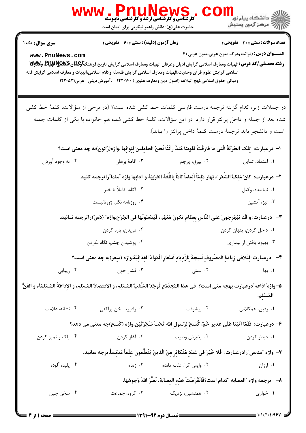|                                                                                                                                | <b>WWW.PnuNews.</b>                                                                                                                                                                                                                                                                                                                                 |                                                                                         |                                                         |  |
|--------------------------------------------------------------------------------------------------------------------------------|-----------------------------------------------------------------------------------------------------------------------------------------------------------------------------------------------------------------------------------------------------------------------------------------------------------------------------------------------------|-----------------------------------------------------------------------------------------|---------------------------------------------------------|--|
|                                                                                                                                | حضرت علی(ع): دانش راهبر نیکویی برای ایمان است                                                                                                                                                                                                                                                                                                       |                                                                                         |                                                         |  |
| <b>سری سوال :</b> یک ۱                                                                                                         | <b>زمان آزمون (دقیقه) : تستی : 60 ٪ تشریحی : 0</b>                                                                                                                                                                                                                                                                                                  |                                                                                         | <b>تعداد سوالات : تستی : 30 ٪ تشریحی : 0</b>            |  |
| www.PnuNews.com                                                                                                                | <b>رشته تحصیلی/کد درس: ا</b> لهیات ومعارف اسلامی گرایش ادیان وعرفان،الهیات ومعارف اسلامی گرایش تاریخ فرهنگ <b>تاوگلدن BE و WyW</b><br>د<br>اسلامی گرایش علوم قر آن وحدیث،الهیات ومعارف اسلامی گرایش فلسفه وکلام اسلامی،الهیات و معارف اسلامی گرایش فقه<br>ومباني حقوق اسلامي،نهج البلاغه (اصول دين ومعارف علوي ) ١٢٢٠١۴٠ - ،آموزش ديني- عربي١٢٢٠٥٢١ |                                                                                         | <b>عنـــوان درس:</b> (قرائت ودرک متون عربی،متون عربی (۴ |  |
|                                                                                                                                | در جملات زیر، کدام گزینه ترجمه درست فارسی کلمات خط کشی شده است؟ (در برخی از سؤالات، کلمهٔ خط کشی                                                                                                                                                                                                                                                    |                                                                                         |                                                         |  |
|                                                                                                                                | شده بعد از جمله و داخل پرانتز قرار دارد. در این سؤالات، کلمهٔ خط کشی شده هم خانواده با یکی از کلمات جمله                                                                                                                                                                                                                                            |                                                                                         |                                                         |  |
|                                                                                                                                |                                                                                                                                                                                                                                                                                                                                                     | است و دانشجو باید ترجمهٔ درست کلمهٔ داخل پرانتز را بیابد).                              |                                                         |  |
|                                                                                                                                | ا– درعبارت: ۖ تِلكَ الحُرِّيَّةُ الّتي ما فارَقَتْ قلوبَنا مُنذُ رَكَنّا نَحنُ الحامِلينَ لِلوائِها .واژه(رُكون)به چه معنى است؟                                                                                                                                                                                                                     |                                                                                         |                                                         |  |
| ۰۴ به وجود آوردن                                                                                                               | ۰۳ اقامهٔ برهان                                                                                                                                                                                                                                                                                                                                     | ۰ <sup>۲</sup> بیرق، پرچم                                                               | ٠١ اعتماد، تمايل                                        |  |
| ٢- درعبارت: كانَ مَلِكُ الشُّعَراء بَهار مُلِمَّأَ اِلْماماً تامّاً بِاللُّغَةَ العَرَبيّةَ و آدابِها.واژه "ملما"راترجمه كنيد. |                                                                                                                                                                                                                                                                                                                                                     |                                                                                         |                                                         |  |
|                                                                                                                                | ٢. آگاه، کاملاً با خبر                                                                                                                                                                                                                                                                                                                              |                                                                                         | ۰۱ نماینده، وکیل                                        |  |
|                                                                                                                                | ۰۴ روزنامه نگار، ژورنالیست                                                                                                                                                                                                                                                                                                                          |                                                                                         | ۰۳ تیز، آتشین                                           |  |
|                                                                                                                                | ٣-- درعبارت: و قَد يُبَهْرِجونَ على النَّاسِ بِعِظامٍ تكونٌ مَعَهُم، فَيَدُسّونَها في الجُرْح.واژه″ (دَسّ)راترجمه نمائيد.                                                                                                                                                                                                                           |                                                                                         |                                                         |  |
|                                                                                                                                | ۰۲ دریدن، پاره کردن                                                                                                                                                                                                                                                                                                                                 |                                                                                         | ۰۱ داخل کردن، پنهان کردن                                |  |
|                                                                                                                                | ۰۴ پوشیدن چشم، نگاه نکردن                                                                                                                                                                                                                                                                                                                           |                                                                                         | ۰۳ بهبود یافتن از بیماری                                |  |
|                                                                                                                                | ۴-- درعبارت: لِتَلافي زِيادَةِ المَصْروفِ نَتيجةً لِازْدِيادِ اَسْعارِ الْمَوادِّ الغِذائِيَّة.واژه (سعر)به چه معنى است؟                                                                                                                                                                                                                            |                                                                                         |                                                         |  |
| ۰۴ زیبایی                                                                                                                      | ۰۳ فشار خون                                                                                                                                                                                                                                                                                                                                         | ۰۲ سمّی <b>مسمّی</b> مسمّی                                                              | ۰۱ بَها                                                 |  |
|                                                                                                                                | ۵– واژه ّاذاعه ّدرعبارت بهچه منى است؟  فى هذا المُجتَمَعِ تُوجَدُ الشَّعْبُ المُسْلِم، و الاقتِصادُ المُسْلِم، و الإذاعَةُ المُسْلِمَة، و الفَنُّ                                                                                                                                                                                                   |                                                                                         | المُسْلِم.                                              |  |
| ۰۴ نشانه، علامت                                                                                                                | ۰۳ رادیو، سخن پراکنی                                                                                                                                                                                                                                                                                                                                |                                                                                         |                                                         |  |
| ۶– درعبارت: فَلَمّا ٱتَيْنا عَلَى غَديرِ خُمّ، كُشِحَ لِرَسولِ اللهِ تَحْتَ شَجَرَتَيْن،واژه (كَشح)چه معنى مى دهد؟             |                                                                                                                                                                                                                                                                                                                                                     |                                                                                         |                                                         |  |
| ۰۴ پاک و تميز کردن                                                                                                             |                                                                                                                                                                                                                                                                                                                                                     | <b>۱.</b> دیدار کردن مسلم ۲۰ پذیرش وصیت مسلم ۳۰ آغاز کردن                               |                                                         |  |
|                                                                                                                                | ٧– واژه ″مدنس″رادرعبارت: فَلا خَيْرَ في عَدَدٍ مُتَكاثِرٍ مِنَ الّذينَ يَتَعَلَّمونَ عِلْماً مُدْنِساً.ترجه نمائيد.                                                                                                                                                                                                                                 |                                                                                         |                                                         |  |
| ۰۴ پلید، آلوده                                                                                                                 | ۰۳ زنده                                                                                                                                                                                                                                                                                                                                             | ۰۲ واپس گرا، عقب مانده                                                                  | ۰۱ ارزان                                                |  |
|                                                                                                                                |                                                                                                                                                                                                                                                                                                                                                     | ٨−   ترجمه واژه "العصابه "كدام است؟فَانْقَرَضَتْ هذه العصابَهٔ، نَضَّرَ اللهُ وُجوهَها. |                                                         |  |
| ۰۴ سخن چين                                                                                                                     | ۰۳ گروه، جماعت                                                                                                                                                                                                                                                                                                                                      | ۰۲ همنشین، نزدیک                                                                        | ۰۱ خواری                                                |  |

 $= 1.1.11.1.984$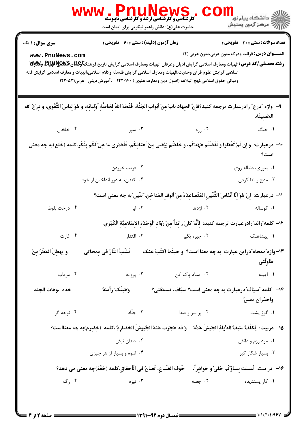|                                                                                                                                                                                 | <b>WWW . PNUNEWS .</b><br>حضرت علی(ع): دانش راهبر نیکویی برای ایمان است                                                                                                                                                                                                                                                                                                                              |                                                                                                                   | لاد دانشگاه پيام نور دا<br>الا مرکز آزمون وسنڊش                                                         |  |  |
|---------------------------------------------------------------------------------------------------------------------------------------------------------------------------------|------------------------------------------------------------------------------------------------------------------------------------------------------------------------------------------------------------------------------------------------------------------------------------------------------------------------------------------------------------------------------------------------------|-------------------------------------------------------------------------------------------------------------------|---------------------------------------------------------------------------------------------------------|--|--|
| <b>سری سوال : ۱ یک</b><br>www.PnuNews.com                                                                                                                                       | زمان آزمون (دقیقه) : تستی : 60 ٪ تشریحی : 0<br><b>رشته تحصیلی/کد درس: ال</b> هیات ومعارف اسلامی گرایش ادیان وعرفان،الهیات ومعارف اسلامی گرایش تاریخ فرهنگ <del>تاوی</del> للای @DB&& وWy<br>اسلامی گرایش علوم قر آن وحدیث،الهیات ومعارف اسلامی گرایش فلسفه وکلام اسلامی،الهیات و معارف اسلامی گرایش فقه<br>ومباني حقوق اسلامي،نهج البلاغه (اصول دين ومعارف علوي ) ١٢٢٠١۴٠ - ،آموزش ديني- عربي١٢٢٠٥٢١ |                                                                                                                   | <b>تعداد سوالات : تستی : 30 ٪ تشریحی : 0</b><br><b>عنـــوان درس:</b> قرائت ودرک متون عربی،متون عربی (۴) |  |  |
| ٩-- واژه "درع" رادرعبارت ترجمه كنيد؟فاِنَّ الجِهاد بابٌ مِنْ اَبْوابِ الجَنَّهُ، فَتَحَهُ اللهُ لِخاصَّهِٔ اَوْلِيائِهِ، و هُوَ لِباسُ التَّقْوَى، و دِرْعُ الله<br>الحَصِينَة. |                                                                                                                                                                                                                                                                                                                                                                                                      |                                                                                                                   |                                                                                                         |  |  |
| ۰۴ خلخال                                                                                                                                                                        | ۲. زره اسپر ۲۰۰                                                                                                                                                                                                                                                                                                                                                                                      |                                                                                                                   | ۰۱ جنگ                                                                                                  |  |  |
|                                                                                                                                                                                 | ∙١- درعبارت: و اِن لَمْ تَفْعَلوا و نَقَضْتُم عَهْدَكُم، و خَلَعْتُم بَيْعَتى مِنْ أعْناقِكُم، فَلَعَمْرى ما هِيَ لَكُم بِنُكْر،كلمه (خَلع)به چه معنى                                                                                                                                                                                                                                                |                                                                                                                   | است؟                                                                                                    |  |  |
|                                                                                                                                                                                 | ۰۲ فريب خوردن                                                                                                                                                                                                                                                                                                                                                                                        |                                                                                                                   | ٠١. پيروى، دنباله روى                                                                                   |  |  |
|                                                                                                                                                                                 | ۰۴ کندن، به دور انداختن از خود                                                                                                                                                                                                                                                                                                                                                                       |                                                                                                                   | ۰۳ مدح و ثنا کردن                                                                                       |  |  |
|                                                                                                                                                                                 | ١١−  درعبارت: ۚ اِنْ هُوَ اِلَّا ٱنْفاسُ التِّنَّينِ المُتَصاعِدَةُ مِنْ ٱلوفِ المَداخِن."تنّين"به چه معنى است؟                                                                                                                                                                                                                                                                                      |                                                                                                                   |                                                                                                         |  |  |
| ۰۴ درخت بلوط                                                                                                                                                                    |                                                                                                                                                                                                                                                                                                                                                                                                      |                                                                                                                   |                                                                                                         |  |  |
|                                                                                                                                                                                 |                                                                                                                                                                                                                                                                                                                                                                                                      | ١٢- كلمه ٌرائد ٌرادرعبارت ترجمه كنيد: ۖ لِأَنَّهُ كانَ رائِداً مِنْ رُوّادِ الْوَحْدَةِ الإسْلامِيَّةِ الْكُبْرى. |                                                                                                         |  |  |
| ۰۴ غارت                                                                                                                                                                         | ۰۳ اقتدار                                                                                                                                                                                                                                                                                                                                                                                            | ۰۲ جیره بگیر                                                                                                      | ۰۱ پیشاهنگ                                                                                              |  |  |
| و يَهطِلُ المَطَرُ مِنْ                                                                                                                                                         | تَشُبُّ النَّارُ في ممحاتي                                                                                                                                                                                                                                                                                                                                                                           | ۱۳-واژه ٌممحاه ؒدراین عبارت  به چه معنا است؟  و حینَما اکتُبُ عَنک                                                | طاوِلتي                                                                                                 |  |  |
| ۰۴ مرداب                                                                                                                                                                        | ۰۳ پروانه                                                                                                                                                                                                                                                                                                                                                                                            | ۰۲ مداد پاک کن                                                                                                    | ۰۱ آیینه                                                                                                |  |  |
| خذه ،وهات الجلد                                                                                                                                                                 | وَهَبتُکَ رَأْسَهُ                                                                                                                                                                                                                                                                                                                                                                                   | <b>۱۴</b> - کلمه "سیّاف"درعبارت به چه معنی است؟ سیّاف، تَسمَعُنی؟                                                 | واحذران يمسّ                                                                                            |  |  |
| ۰۴ نوحه گر                                                                                                                                                                      | ۰۳ جلّاد                                                                                                                                                                                                                                                                                                                                                                                             | ۰۲ پر سر و صدا                                                                                                    | ۱. گوژ پشت                                                                                              |  |  |
|                                                                                                                                                                                 | 1۵– دربيت: يُكَلِّفُ سَيفُ الدَّولةِ الجَيشَ هَمَّهُ ۖ وَ قَد عَجَزَت عَنهُ الجُيوشُ الخَضارِمُ ،كلمه (خِضِرم)به چه معنااست؟                                                                                                                                                                                                                                                                         |                                                                                                                   |                                                                                                         |  |  |
|                                                                                                                                                                                 | ۰۲ دندان نیش                                                                                                                                                                                                                                                                                                                                                                                         |                                                                                                                   | ۰۱ مرد رزم و دانش                                                                                       |  |  |
|                                                                                                                                                                                 | ۰۴ انبوه و بسیار از هر چیزی                                                                                                                                                                                                                                                                                                                                                                          |                                                                                                                   | ۰۳ بسیار شکار گیر                                                                                       |  |  |
|                                                                                                                                                                                 | خَوفَ الضّياعِ، تُصانُ في الْأَحقاقِ،كلمه (حُقّة)چه معنى مى دهد؟                                                                                                                                                                                                                                                                                                                                     |                                                                                                                   | ۱۶– در بيت: لَيسَت نساؤكُم حُليَّ و جَواهراً،                                                           |  |  |
| ۰۴ رگ                                                                                                                                                                           | ۰۳ نیزه                                                                                                                                                                                                                                                                                                                                                                                              | ۰۲ جعبه                                                                                                           | ۰۱ کار پسندیده                                                                                          |  |  |
|                                                                                                                                                                                 |                                                                                                                                                                                                                                                                                                                                                                                                      |                                                                                                                   |                                                                                                         |  |  |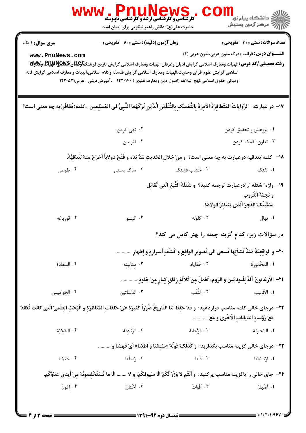|                                                                                                                                                                   | <b>WWW  PnullVewS</b><br>حضرت علی(ع): دانش راهبر نیکویی برای ایمان است                                                                                                                                                   |                                                                                               | لاد دانشگاه پيام نور "<br>   > مرکز آزمون وسنڊش                                                      |
|-------------------------------------------------------------------------------------------------------------------------------------------------------------------|--------------------------------------------------------------------------------------------------------------------------------------------------------------------------------------------------------------------------|-----------------------------------------------------------------------------------------------|------------------------------------------------------------------------------------------------------|
| <b>سری سوال : ۱ یک</b>                                                                                                                                            | زمان آزمون (دقیقه) : تستی : 60 ٪ تشریحی : 0                                                                                                                                                                              |                                                                                               | <b>تعداد سوالات : تستی : 30 ٪ تشریحی : 0</b>                                                         |
| www.PnuNews.com<br>اسلامى گرايش علوم قر آن وحديث،الهيات ومعارف اسلامى گرايش فلسفه وكلام اسلامى،الهيات و معارف اسلامى گرايش فقه                                    | رشته تحصیلی/کد درس: الهیات ومعارف اسلامی گرایش ادیان وعرفان،الهیات ومعارف اسلامی گرایش تاریخ فرهنگتاوعلاق&یکیهای وکلالای تا<br>ومباني حقوق اسلامي،نهج البلاغه (اصول دين ومعارف علوي ) ١٢٢٠١۴٠ - ،آموزش ديني- عربي١٢٢٠٥٢١ |                                                                                               | <b>عنـــوان درس:</b> قرائت ودرک متون عربی،متون عربی (۴)                                              |
| ١٧- در عبارت:  الرِّواياتُ المُتَظافِرَةُ الآمِرَةُ بِالتَّمَسُّکِ بِالثَّقَلَيْنِ الَّذَيْنِ تَرَكَهُما النَّبِىُّ فى المُسْلِمين  ،كلمه(تَظافُر)به چه معنى است؟ |                                                                                                                                                                                                                          |                                                                                               |                                                                                                      |
|                                                                                                                                                                   | ۰۲ نهي کردن                                                                                                                                                                                                              | ۰۱ پژوهش و تحقیق کردن                                                                         |                                                                                                      |
|                                                                                                                                                                   | ۰۴ لغزيدن                                                                                                                                                                                                                |                                                                                               | ۰۳ تعاون، کمک کردن                                                                                   |
|                                                                                                                                                                   | ١٨−   كلمه ٌبندقيه درعبارت به چه معنى است؟  و مِنْ خِلالِ الحَديثِ مَدَّ يَدَه و فَتَحَ دولاباً اَخرَجَ مِنهُ بُنْدَقيَّةً.                                                                                              |                                                                                               |                                                                                                      |
| ۰۴ طوطی                                                                                                                                                           | ۰۳ ساک دستی                                                                                                                                                                                                              | ۰۲ خشاب فشنگ                                                                                  | ۰۱ تفنگ                                                                                              |
|                                                                                                                                                                   |                                                                                                                                                                                                                          | ١٩- واژه ؒ شتله  ؒرادرعبارت ترجمه كنيد؟ و شَتلَةَ التَّبغِ الَّتي تُقاتِل                     | و نَجمَةَ الْغُروب<br>سَمَّيتُكَ الفَجرَ الَّذي يَنتَظِرُ الوِلادَة                                  |
| ۰۴ قورباغه                                                                                                                                                        | ۰۳ گیسو                                                                                                                                                                                                                  | ۰۲ گلوله                                                                                      | ۰۱ نهال                                                                                              |
|                                                                                                                                                                   |                                                                                                                                                                                                                          | در سؤالات زیر، کدام گزینه جمله را بهتر کامل می کند؟                                           |                                                                                                      |
|                                                                                                                                                                   |                                                                                                                                                                                                                          | +٢- و الواقعِيّةُ مُنذٌ نَشأتِها تَسعى الى تَصويرِ الواقِعِ و كَشْفِ اَسرارِهِ و اِظهارِ      |                                                                                                      |
| ۴. السّعادَة                                                                                                                                                      | ۰۳ مثالیّتِه                                                                                                                                                                                                             |                                                                                               | ١. المَخْمورَة مسمورَ المَحْمورَ الله عنه الله عنه الله عنه الله عنه الله عنه الله عنه الله عنه الله |
|                                                                                                                                                                   |                                                                                                                                                                                                                          | ٢١- الأرْغانونُ آلةٌ لِلْيونايّينَ و الرّوم، تُعْمَلُ مِنْ ثَلاثَةٍ زِقاقٍ كِبارٍ مِنْ جُلودِ |                                                                                                      |
| ۰۴ الجَواميس                                                                                                                                                      | ٠٣ الدَّساتين                                                                                                                                                                                                            | ٢. الثَّقَب                                                                                   | ٠١ الأنابيب                                                                                          |
| ٢٢- درجاي خالي كلمه مناسب قراردهيد: و قَدْ حَفِظَ لَنا التّاريخُ صُوَراً كَثيرَة عَنْ حَلَقاتِ المُناظَرَةِ و الْبَحْثِ العِلْميّ الّتي كانَت تُعْقَدُ            |                                                                                                                                                                                                                          |                                                                                               | مَعَ رُؤساء الدّيانات الأُخْري و مَعَ                                                                |
| ۴. الحُجّيّة                                                                                                                                                      | ٣. الزَّنادقَهٔ                                                                                                                                                                                                          | ٢. الرَّحابة                                                                                  | ٠١. المُحاوَلَهُ                                                                                     |
|                                                                                                                                                                   |                                                                                                                                                                                                                          | ٢٣- درجاي خالي گزينه مناسب بگذاريد:  و كَذلكَ قَولُهُ «سَمعْنا و اَطَعْنا» اَيْ فَهمْنا و     |                                                                                                      |
| ۰۴ خَتَمْنا                                                                                                                                                       | ۰۳ وَصَفْنا                                                                                                                                                                                                              | ٢. قُلْنا                                                                                     | ۰۱ ارْتَسَمْنا                                                                                       |
|                                                                                                                                                                   | ٢۴- جاي خالي را باگزينه مناسب پركنيد: ۖ و أَنْتُم لا وَزَرَ لَكُمْ الَّا سُيوفكُمْ، و لا  الّا ما تَسْتَخْلصونَهُ منْ اَيدي عَدُوَّكُم.                                                                                  |                                                                                               |                                                                                                      |
| ۰۴ اعْوازَ                                                                                                                                                        | ۰۳ اَخْتانَ                                                                                                                                                                                                              | ٢. أَقُواتَ                                                                                   | ۰۱ أصْهارَ                                                                                           |
| = صفحه 3 از 4                                                                                                                                                     | ـــــ نیمسال دوم ۹۲-۱۳۹۱ ـــ                                                                                                                                                                                             |                                                                                               |                                                                                                      |